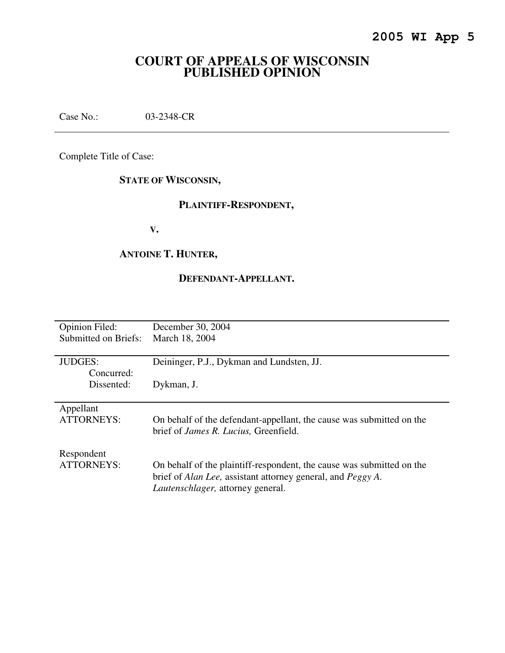# **COURT OF APPEALS OF WISCONSIN PUBLISHED OPINION**

Case No.: 03-2348-CR

Complete Title of Case:

# **STATE OF WISCONSIN,**

# **PLAINTIFF-RESPONDENT,**

 **V.** 

## **ANTOINE T. HUNTER,**

## **DEFENDANT-APPELLANT.**

| <b>Opinion Filed:</b> | December 30, 2004                                                           |
|-----------------------|-----------------------------------------------------------------------------|
| Submitted on Briefs:  | March 18, 2004                                                              |
|                       |                                                                             |
| <b>JUDGES:</b>        | Deininger, P.J., Dykman and Lundsten, JJ.                                   |
| Concurred:            |                                                                             |
| Dissented:            | Dykman, J.                                                                  |
|                       |                                                                             |
| Appellant             |                                                                             |
| <b>ATTORNEYS:</b>     | On behalf of the defendant-appellant, the cause was submitted on the        |
|                       | brief of <i>James R. Lucius</i> , Greenfield.                               |
|                       |                                                                             |
| Respondent            |                                                                             |
| ATTORNEYS:            | On behalf of the plaintiff-respondent, the cause was submitted on the       |
|                       | brief of <i>Alan Lee</i> , assistant attorney general, and <i>Peggy A</i> . |
|                       | Lautenschlager, attorney general.                                           |
|                       |                                                                             |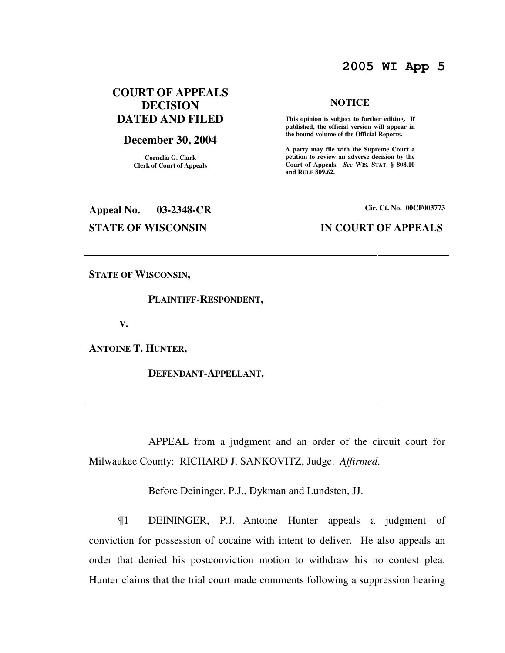# **2005 WI App 5**

# **COURT OF APPEALS DECISION DATED AND FILED**

### **December 30, 2004**

**Cornelia G. Clark Clerk of Court of Appeals**

# **Appeal No. 03-2348-CR Cir. Ct. No. 00CF003773**

#### **NOTICE**

 **This opinion is subject to further editing. If published, the official version will appear in the bound volume of the Official Reports.** 

**A party may file with the Supreme Court a petition to review an adverse decision by the Court of Appeals.** *See* **WIS. STAT. § 808.10 and RULE 809.62.** 

### **STATE OF WISCONSIN IN COURT OF APPEALS**

**STATE OF WISCONSIN,** 

### **PLAINTIFF-RESPONDENT,**

 **V.** 

**ANTOINE T. HUNTER,** 

 **DEFENDANT-APPELLANT.** 

 APPEAL from a judgment and an order of the circuit court for Milwaukee County: RICHARD J. SANKOVITZ, Judge. *Affirmed*.

Before Deininger, P.J., Dykman and Lundsten, JJ.

¶1 DEININGER, P.J. Antoine Hunter appeals a judgment of conviction for possession of cocaine with intent to deliver. He also appeals an order that denied his postconviction motion to withdraw his no contest plea. Hunter claims that the trial court made comments following a suppression hearing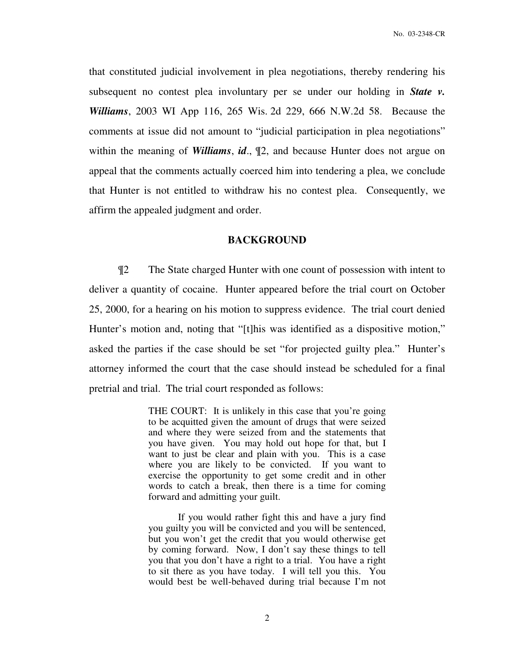that constituted judicial involvement in plea negotiations, thereby rendering his subsequent no contest plea involuntary per se under our holding in *State v. Williams*, 2003 WI App 116, 265 Wis. 2d 229, 666 N.W.2d 58. Because the comments at issue did not amount to "judicial participation in plea negotiations" within the meaning of *Williams*, *id*., ¶2, and because Hunter does not argue on appeal that the comments actually coerced him into tendering a plea, we conclude that Hunter is not entitled to withdraw his no contest plea. Consequently, we affirm the appealed judgment and order.

### **BACKGROUND**

 ¶2 The State charged Hunter with one count of possession with intent to deliver a quantity of cocaine. Hunter appeared before the trial court on October 25, 2000, for a hearing on his motion to suppress evidence. The trial court denied Hunter's motion and, noting that "[t]his was identified as a dispositive motion," asked the parties if the case should be set "for projected guilty plea." Hunter's attorney informed the court that the case should instead be scheduled for a final pretrial and trial. The trial court responded as follows:

> THE COURT: It is unlikely in this case that you're going to be acquitted given the amount of drugs that were seized and where they were seized from and the statements that you have given. You may hold out hope for that, but I want to just be clear and plain with you. This is a case where you are likely to be convicted. If you want to exercise the opportunity to get some credit and in other words to catch a break, then there is a time for coming forward and admitting your guilt.

> If you would rather fight this and have a jury find you guilty you will be convicted and you will be sentenced, but you won't get the credit that you would otherwise get by coming forward. Now, I don't say these things to tell you that you don't have a right to a trial. You have a right to sit there as you have today. I will tell you this. You would best be well-behaved during trial because I'm not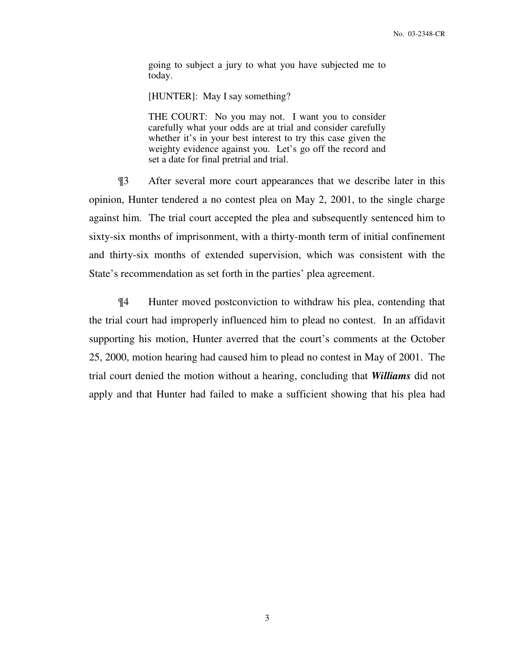going to subject a jury to what you have subjected me to today.

[HUNTER]: May I say something?

THE COURT: No you may not. I want you to consider carefully what your odds are at trial and consider carefully whether it's in your best interest to try this case given the weighty evidence against you. Let's go off the record and set a date for final pretrial and trial.

¶3 After several more court appearances that we describe later in this opinion, Hunter tendered a no contest plea on May 2, 2001, to the single charge against him. The trial court accepted the plea and subsequently sentenced him to sixty-six months of imprisonment, with a thirty-month term of initial confinement and thirty-six months of extended supervision, which was consistent with the State's recommendation as set forth in the parties' plea agreement.

¶4 Hunter moved postconviction to withdraw his plea, contending that the trial court had improperly influenced him to plead no contest. In an affidavit supporting his motion, Hunter averred that the court's comments at the October 25, 2000, motion hearing had caused him to plead no contest in May of 2001. The trial court denied the motion without a hearing, concluding that *Williams* did not apply and that Hunter had failed to make a sufficient showing that his plea had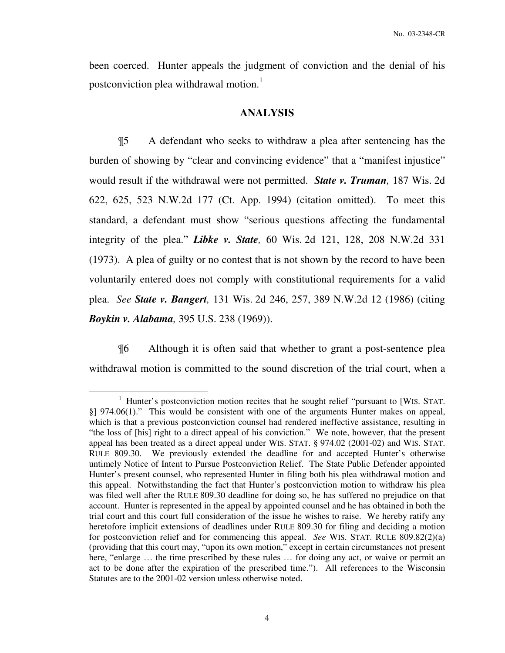been coerced. Hunter appeals the judgment of conviction and the denial of his postconviction plea withdrawal motion.<sup>1</sup>

### **ANALYSIS**

 ¶5 A defendant who seeks to withdraw a plea after sentencing has the burden of showing by "clear and convincing evidence" that a "manifest injustice" would result if the withdrawal were not permitted. *State v. Truman,* 187 Wis. 2d 622, 625, 523 N.W.2d 177 (Ct. App. 1994) (citation omitted). To meet this standard, a defendant must show "serious questions affecting the fundamental integrity of the plea." *Libke v. State,* 60 Wis. 2d 121, 128, 208 N.W.2d 331 (1973). A plea of guilty or no contest that is not shown by the record to have been voluntarily entered does not comply with constitutional requirements for a valid plea. *See State v. Bangert,* 131 Wis. 2d 246, 257, 389 N.W.2d 12 (1986) (citing *Boykin v. Alabama,* 395 U.S. 238 (1969)).

 ¶6 Although it is often said that whether to grant a post-sentence plea withdrawal motion is committed to the sound discretion of the trial court, when a

 $\overline{a}$ 

<sup>&</sup>lt;sup>1</sup> Hunter's postconviction motion recites that he sought relief "pursuant to [WIS. STAT. §] 974.06(1)." This would be consistent with one of the arguments Hunter makes on appeal, which is that a previous postconviction counsel had rendered ineffective assistance, resulting in "the loss of [his] right to a direct appeal of his conviction." We note, however, that the present appeal has been treated as a direct appeal under WIS. STAT. § 974.02 (2001-02) and WIS. STAT. RULE 809.30. We previously extended the deadline for and accepted Hunter's otherwise untimely Notice of Intent to Pursue Postconviction Relief. The State Public Defender appointed Hunter's present counsel, who represented Hunter in filing both his plea withdrawal motion and this appeal. Notwithstanding the fact that Hunter's postconviction motion to withdraw his plea was filed well after the RULE 809.30 deadline for doing so, he has suffered no prejudice on that account. Hunter is represented in the appeal by appointed counsel and he has obtained in both the trial court and this court full consideration of the issue he wishes to raise. We hereby ratify any heretofore implicit extensions of deadlines under RULE 809.30 for filing and deciding a motion for postconviction relief and for commencing this appeal. *See* WIS. STAT. RULE 809.82(2)(a) (providing that this court may, "upon its own motion," except in certain circumstances not present here, "enlarge ... the time prescribed by these rules ... for doing any act, or waive or permit an act to be done after the expiration of the prescribed time."). All references to the Wisconsin Statutes are to the 2001-02 version unless otherwise noted.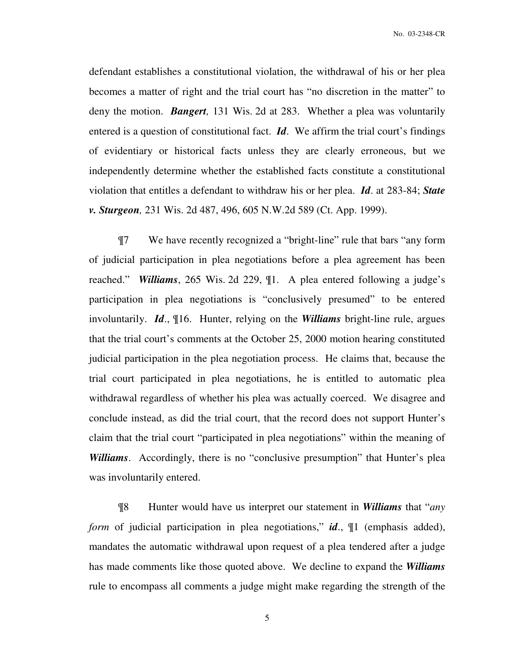No. 03-2348-CR

defendant establishes a constitutional violation, the withdrawal of his or her plea becomes a matter of right and the trial court has "no discretion in the matter" to deny the motion. *Bangert,* 131 Wis. 2d at 283. Whether a plea was voluntarily entered is a question of constitutional fact. *Id*. We affirm the trial court's findings of evidentiary or historical facts unless they are clearly erroneous, but we independently determine whether the established facts constitute a constitutional violation that entitles a defendant to withdraw his or her plea. *Id*. at 283-84; *State v. Sturgeon,* 231 Wis. 2d 487, 496, 605 N.W.2d 589 (Ct. App. 1999).

 ¶7 We have recently recognized a "bright-line" rule that bars "any form of judicial participation in plea negotiations before a plea agreement has been reached." *Williams*, 265 Wis. 2d 229, ¶1. A plea entered following a judge's participation in plea negotiations is "conclusively presumed" to be entered involuntarily. *Id*., ¶16. Hunter, relying on the *Williams* bright-line rule, argues that the trial court's comments at the October 25, 2000 motion hearing constituted judicial participation in the plea negotiation process. He claims that, because the trial court participated in plea negotiations, he is entitled to automatic plea withdrawal regardless of whether his plea was actually coerced. We disagree and conclude instead, as did the trial court, that the record does not support Hunter's claim that the trial court "participated in plea negotiations" within the meaning of *Williams*. Accordingly, there is no "conclusive presumption" that Hunter's plea was involuntarily entered.

 ¶8 Hunter would have us interpret our statement in *Williams* that "*any form* of judicial participation in plea negotiations," *id*., 1 (emphasis added), mandates the automatic withdrawal upon request of a plea tendered after a judge has made comments like those quoted above. We decline to expand the *Williams*  rule to encompass all comments a judge might make regarding the strength of the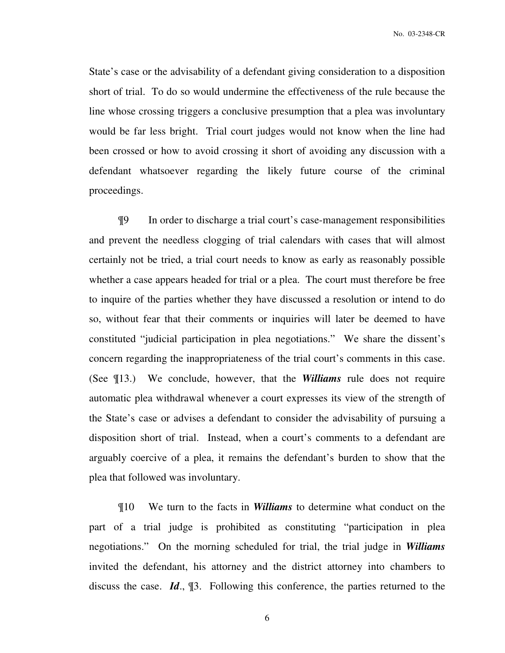No. 03-2348-CR

State's case or the advisability of a defendant giving consideration to a disposition short of trial. To do so would undermine the effectiveness of the rule because the line whose crossing triggers a conclusive presumption that a plea was involuntary would be far less bright. Trial court judges would not know when the line had been crossed or how to avoid crossing it short of avoiding any discussion with a defendant whatsoever regarding the likely future course of the criminal proceedings.

 ¶9 In order to discharge a trial court's case-management responsibilities and prevent the needless clogging of trial calendars with cases that will almost certainly not be tried, a trial court needs to know as early as reasonably possible whether a case appears headed for trial or a plea. The court must therefore be free to inquire of the parties whether they have discussed a resolution or intend to do so, without fear that their comments or inquiries will later be deemed to have constituted "judicial participation in plea negotiations." We share the dissent's concern regarding the inappropriateness of the trial court's comments in this case. (See ¶13.) We conclude, however, that the *Williams* rule does not require automatic plea withdrawal whenever a court expresses its view of the strength of the State's case or advises a defendant to consider the advisability of pursuing a disposition short of trial. Instead, when a court's comments to a defendant are arguably coercive of a plea, it remains the defendant's burden to show that the plea that followed was involuntary.

 ¶10 We turn to the facts in *Williams* to determine what conduct on the part of a trial judge is prohibited as constituting "participation in plea negotiations." On the morning scheduled for trial, the trial judge in *Williams*  invited the defendant, his attorney and the district attorney into chambers to discuss the case. *Id*., ¶3. Following this conference, the parties returned to the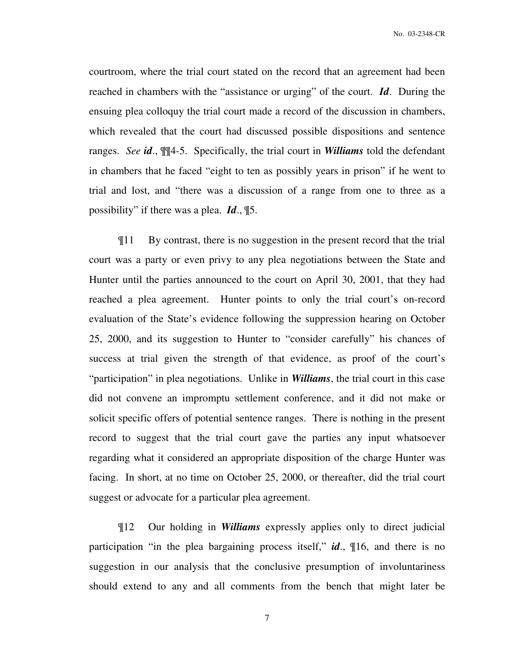courtroom, where the trial court stated on the record that an agreement had been reached in chambers with the "assistance or urging" of the court. *Id*. During the ensuing plea colloquy the trial court made a record of the discussion in chambers, which revealed that the court had discussed possible dispositions and sentence ranges. *See id*., ¶¶4-5. Specifically, the trial court in *Williams* told the defendant in chambers that he faced "eight to ten as possibly years in prison" if he went to trial and lost, and "there was a discussion of a range from one to three as a possibility" if there was a plea. *Id*., ¶5.

 ¶11 By contrast, there is no suggestion in the present record that the trial court was a party or even privy to any plea negotiations between the State and Hunter until the parties announced to the court on April 30, 2001, that they had reached a plea agreement. Hunter points to only the trial court's on-record evaluation of the State's evidence following the suppression hearing on October 25, 2000, and its suggestion to Hunter to "consider carefully" his chances of success at trial given the strength of that evidence, as proof of the court's "participation" in plea negotiations. Unlike in *Williams*, the trial court in this case did not convene an impromptu settlement conference, and it did not make or solicit specific offers of potential sentence ranges. There is nothing in the present record to suggest that the trial court gave the parties any input whatsoever regarding what it considered an appropriate disposition of the charge Hunter was facing. In short, at no time on October 25, 2000, or thereafter, did the trial court suggest or advocate for a particular plea agreement.

 ¶12 Our holding in *Williams* expressly applies only to direct judicial participation "in the plea bargaining process itself," *id*., ¶16, and there is no suggestion in our analysis that the conclusive presumption of involuntariness should extend to any and all comments from the bench that might later be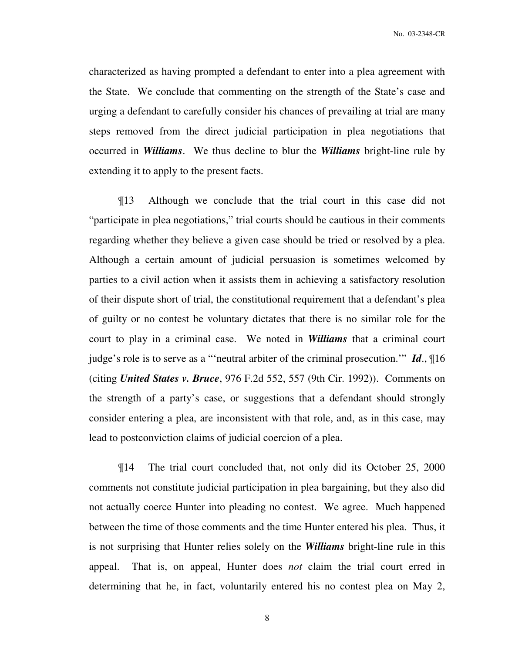characterized as having prompted a defendant to enter into a plea agreement with the State. We conclude that commenting on the strength of the State's case and urging a defendant to carefully consider his chances of prevailing at trial are many steps removed from the direct judicial participation in plea negotiations that occurred in *Williams*. We thus decline to blur the *Williams* bright-line rule by extending it to apply to the present facts.

 ¶13 Although we conclude that the trial court in this case did not "participate in plea negotiations," trial courts should be cautious in their comments regarding whether they believe a given case should be tried or resolved by a plea. Although a certain amount of judicial persuasion is sometimes welcomed by parties to a civil action when it assists them in achieving a satisfactory resolution of their dispute short of trial, the constitutional requirement that a defendant's plea of guilty or no contest be voluntary dictates that there is no similar role for the court to play in a criminal case. We noted in *Williams* that a criminal court judge's role is to serve as a "'neutral arbiter of the criminal prosecution.'" *Id*., ¶16 (citing *United States v. Bruce*, 976 F.2d 552, 557 (9th Cir. 1992)). Comments on the strength of a party's case, or suggestions that a defendant should strongly consider entering a plea, are inconsistent with that role, and, as in this case, may lead to postconviction claims of judicial coercion of a plea.

 ¶14 The trial court concluded that, not only did its October 25, 2000 comments not constitute judicial participation in plea bargaining, but they also did not actually coerce Hunter into pleading no contest. We agree. Much happened between the time of those comments and the time Hunter entered his plea. Thus, it is not surprising that Hunter relies solely on the *Williams* bright-line rule in this appeal. That is, on appeal, Hunter does *not* claim the trial court erred in determining that he, in fact, voluntarily entered his no contest plea on May 2,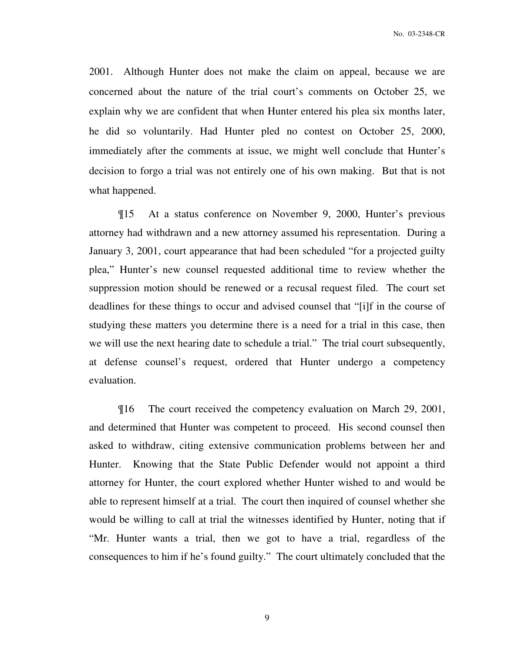2001. Although Hunter does not make the claim on appeal, because we are concerned about the nature of the trial court's comments on October 25, we explain why we are confident that when Hunter entered his plea six months later, he did so voluntarily. Had Hunter pled no contest on October 25, 2000, immediately after the comments at issue, we might well conclude that Hunter's decision to forgo a trial was not entirely one of his own making. But that is not what happened.

¶15 At a status conference on November 9, 2000, Hunter's previous attorney had withdrawn and a new attorney assumed his representation. During a January 3, 2001, court appearance that had been scheduled "for a projected guilty plea," Hunter's new counsel requested additional time to review whether the suppression motion should be renewed or a recusal request filed. The court set deadlines for these things to occur and advised counsel that "[i]f in the course of studying these matters you determine there is a need for a trial in this case, then we will use the next hearing date to schedule a trial." The trial court subsequently, at defense counsel's request, ordered that Hunter undergo a competency evaluation.

¶16 The court received the competency evaluation on March 29, 2001, and determined that Hunter was competent to proceed. His second counsel then asked to withdraw, citing extensive communication problems between her and Hunter. Knowing that the State Public Defender would not appoint a third attorney for Hunter, the court explored whether Hunter wished to and would be able to represent himself at a trial. The court then inquired of counsel whether she would be willing to call at trial the witnesses identified by Hunter, noting that if "Mr. Hunter wants a trial, then we got to have a trial, regardless of the consequences to him if he's found guilty." The court ultimately concluded that the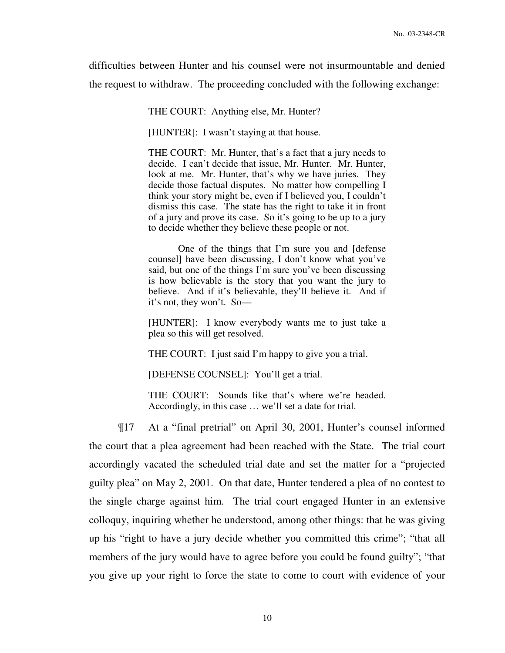difficulties between Hunter and his counsel were not insurmountable and denied the request to withdraw. The proceeding concluded with the following exchange:

THE COURT: Anything else, Mr. Hunter?

[HUNTER]: I wasn't staying at that house.

THE COURT: Mr. Hunter, that's a fact that a jury needs to decide. I can't decide that issue, Mr. Hunter. Mr. Hunter, look at me. Mr. Hunter, that's why we have juries. They decide those factual disputes. No matter how compelling I think your story might be, even if I believed you, I couldn't dismiss this case. The state has the right to take it in front of a jury and prove its case. So it's going to be up to a jury to decide whether they believe these people or not.

One of the things that I'm sure you and [defense counsel] have been discussing, I don't know what you've said, but one of the things I'm sure you've been discussing is how believable is the story that you want the jury to believe. And if it's believable, they'll believe it. And if it's not, they won't. So—

[HUNTER]: I know everybody wants me to just take a plea so this will get resolved.

THE COURT: I just said I'm happy to give you a trial.

[DEFENSE COUNSEL]: You'll get a trial.

THE COURT: Sounds like that's where we're headed. Accordingly, in this case … we'll set a date for trial.

¶17 At a "final pretrial" on April 30, 2001, Hunter's counsel informed the court that a plea agreement had been reached with the State. The trial court accordingly vacated the scheduled trial date and set the matter for a "projected guilty plea" on May 2, 2001. On that date, Hunter tendered a plea of no contest to the single charge against him. The trial court engaged Hunter in an extensive colloquy, inquiring whether he understood, among other things: that he was giving up his "right to have a jury decide whether you committed this crime"; "that all members of the jury would have to agree before you could be found guilty"; "that you give up your right to force the state to come to court with evidence of your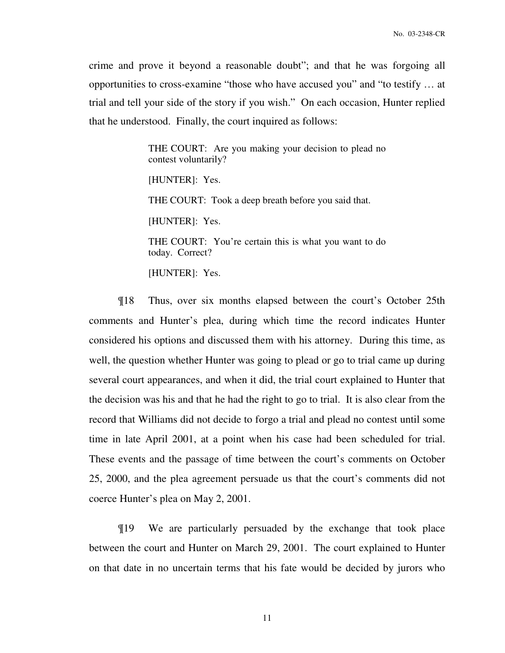crime and prove it beyond a reasonable doubt"; and that he was forgoing all opportunities to cross-examine "those who have accused you" and "to testify … at trial and tell your side of the story if you wish." On each occasion, Hunter replied that he understood. Finally, the court inquired as follows:

> THE COURT: Are you making your decision to plead no contest voluntarily?

[HUNTER]: Yes.

THE COURT: Took a deep breath before you said that.

[HUNTER]: Yes.

THE COURT: You're certain this is what you want to do today. Correct?

[HUNTER]: Yes.

 ¶18 Thus, over six months elapsed between the court's October 25th comments and Hunter's plea, during which time the record indicates Hunter considered his options and discussed them with his attorney. During this time, as well, the question whether Hunter was going to plead or go to trial came up during several court appearances, and when it did, the trial court explained to Hunter that the decision was his and that he had the right to go to trial. It is also clear from the record that Williams did not decide to forgo a trial and plead no contest until some time in late April 2001, at a point when his case had been scheduled for trial. These events and the passage of time between the court's comments on October 25, 2000, and the plea agreement persuade us that the court's comments did not coerce Hunter's plea on May 2, 2001.

 ¶19 We are particularly persuaded by the exchange that took place between the court and Hunter on March 29, 2001. The court explained to Hunter on that date in no uncertain terms that his fate would be decided by jurors who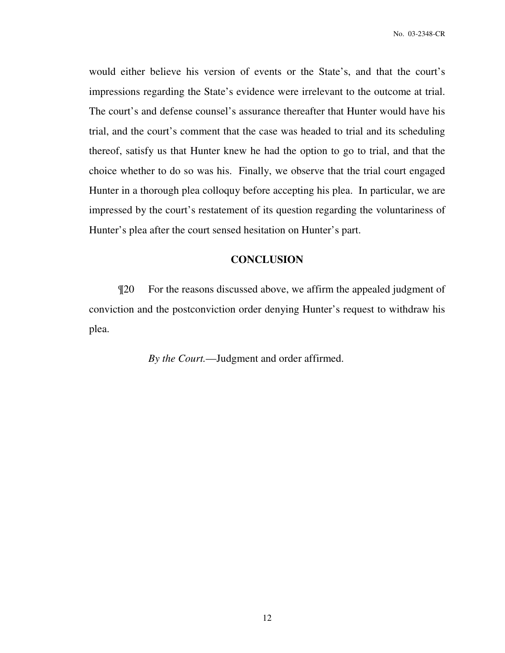would either believe his version of events or the State's, and that the court's impressions regarding the State's evidence were irrelevant to the outcome at trial. The court's and defense counsel's assurance thereafter that Hunter would have his trial, and the court's comment that the case was headed to trial and its scheduling thereof, satisfy us that Hunter knew he had the option to go to trial, and that the choice whether to do so was his. Finally, we observe that the trial court engaged Hunter in a thorough plea colloquy before accepting his plea. In particular, we are impressed by the court's restatement of its question regarding the voluntariness of Hunter's plea after the court sensed hesitation on Hunter's part.

### **CONCLUSION**

 ¶20 For the reasons discussed above, we affirm the appealed judgment of conviction and the postconviction order denying Hunter's request to withdraw his plea.

*By the Court.*—Judgment and order affirmed.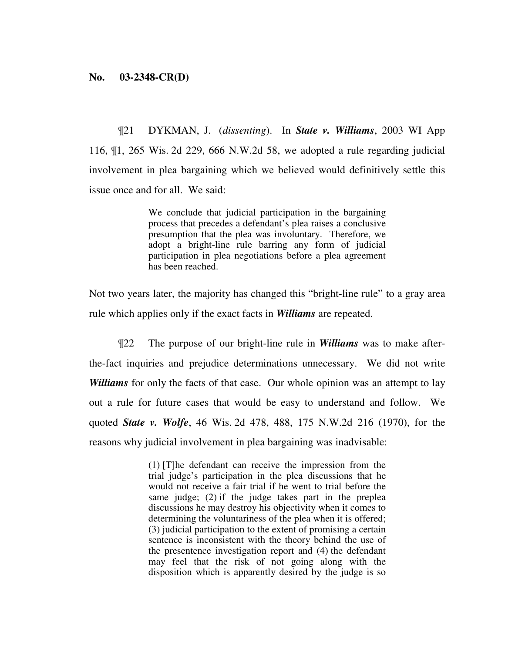### **No. 03-2348-CR(D)**

¶21 DYKMAN, J. (*dissenting*). In *State v. Williams*, 2003 WI App 116, ¶1, 265 Wis. 2d 229, 666 N.W.2d 58, we adopted a rule regarding judicial involvement in plea bargaining which we believed would definitively settle this issue once and for all. We said:

> We conclude that judicial participation in the bargaining process that precedes a defendant's plea raises a conclusive presumption that the plea was involuntary. Therefore, we adopt a bright-line rule barring any form of judicial participation in plea negotiations before a plea agreement has been reached.

Not two years later, the majority has changed this "bright-line rule" to a gray area rule which applies only if the exact facts in *Williams* are repeated.

¶22 The purpose of our bright-line rule in *Williams* was to make afterthe-fact inquiries and prejudice determinations unnecessary. We did not write *Williams* for only the facts of that case. Our whole opinion was an attempt to lay out a rule for future cases that would be easy to understand and follow. We quoted *State v. Wolfe*, 46 Wis. 2d 478, 488, 175 N.W.2d 216 (1970), for the reasons why judicial involvement in plea bargaining was inadvisable:

> (1) [T]he defendant can receive the impression from the trial judge's participation in the plea discussions that he would not receive a fair trial if he went to trial before the same judge; (2) if the judge takes part in the preplea discussions he may destroy his objectivity when it comes to determining the voluntariness of the plea when it is offered; (3) judicial participation to the extent of promising a certain sentence is inconsistent with the theory behind the use of the presentence investigation report and (4) the defendant may feel that the risk of not going along with the disposition which is apparently desired by the judge is so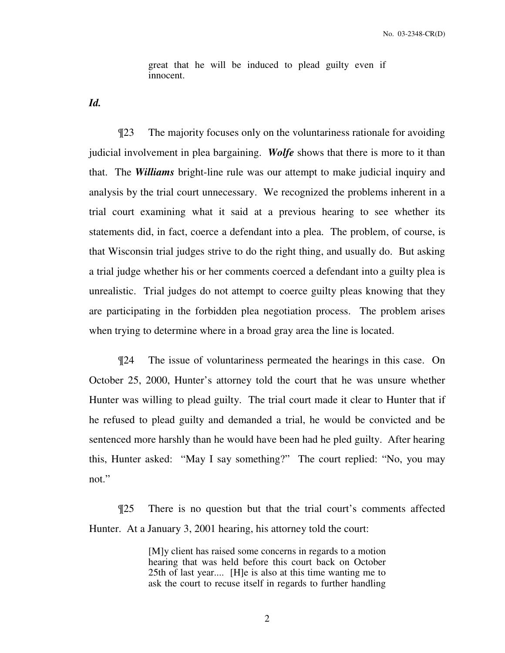great that he will be induced to plead guilty even if innocent.

*Id.*

¶23 The majority focuses only on the voluntariness rationale for avoiding judicial involvement in plea bargaining. *Wolfe* shows that there is more to it than that. The *Williams* bright-line rule was our attempt to make judicial inquiry and analysis by the trial court unnecessary. We recognized the problems inherent in a trial court examining what it said at a previous hearing to see whether its statements did, in fact, coerce a defendant into a plea. The problem, of course, is that Wisconsin trial judges strive to do the right thing, and usually do. But asking a trial judge whether his or her comments coerced a defendant into a guilty plea is unrealistic. Trial judges do not attempt to coerce guilty pleas knowing that they are participating in the forbidden plea negotiation process. The problem arises when trying to determine where in a broad gray area the line is located.

¶24 The issue of voluntariness permeated the hearings in this case. On October 25, 2000, Hunter's attorney told the court that he was unsure whether Hunter was willing to plead guilty. The trial court made it clear to Hunter that if he refused to plead guilty and demanded a trial, he would be convicted and be sentenced more harshly than he would have been had he pled guilty. After hearing this, Hunter asked: "May I say something?" The court replied: "No, you may not."

¶25 There is no question but that the trial court's comments affected Hunter. At a January 3, 2001 hearing, his attorney told the court:

> [M]y client has raised some concerns in regards to a motion hearing that was held before this court back on October 25th of last year.... [H]e is also at this time wanting me to ask the court to recuse itself in regards to further handling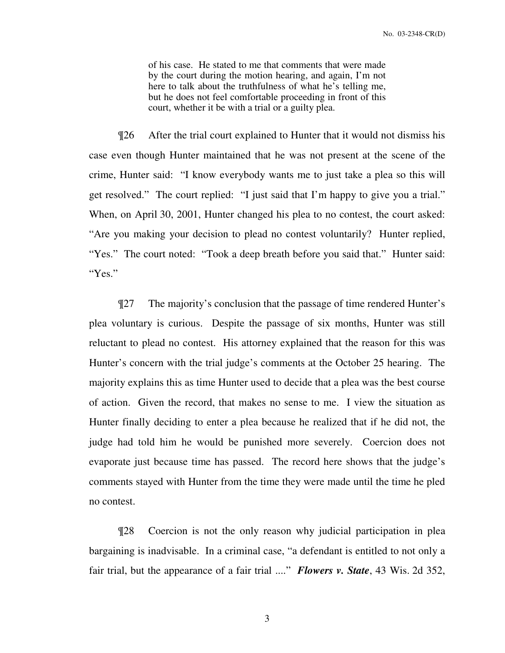of his case. He stated to me that comments that were made by the court during the motion hearing, and again, I'm not here to talk about the truthfulness of what he's telling me, but he does not feel comfortable proceeding in front of this court, whether it be with a trial or a guilty plea.

¶26 After the trial court explained to Hunter that it would not dismiss his case even though Hunter maintained that he was not present at the scene of the crime, Hunter said: "I know everybody wants me to just take a plea so this will get resolved." The court replied: "I just said that I'm happy to give you a trial." When, on April 30, 2001, Hunter changed his plea to no contest, the court asked: "Are you making your decision to plead no contest voluntarily? Hunter replied, "Yes." The court noted: "Took a deep breath before you said that." Hunter said: "Yes."

¶27 The majority's conclusion that the passage of time rendered Hunter's plea voluntary is curious. Despite the passage of six months, Hunter was still reluctant to plead no contest. His attorney explained that the reason for this was Hunter's concern with the trial judge's comments at the October 25 hearing. The majority explains this as time Hunter used to decide that a plea was the best course of action. Given the record, that makes no sense to me. I view the situation as Hunter finally deciding to enter a plea because he realized that if he did not, the judge had told him he would be punished more severely. Coercion does not evaporate just because time has passed. The record here shows that the judge's comments stayed with Hunter from the time they were made until the time he pled no contest.

¶28 Coercion is not the only reason why judicial participation in plea bargaining is inadvisable. In a criminal case, "a defendant is entitled to not only a fair trial, but the appearance of a fair trial ...." *Flowers v. State*, 43 Wis. 2d 352,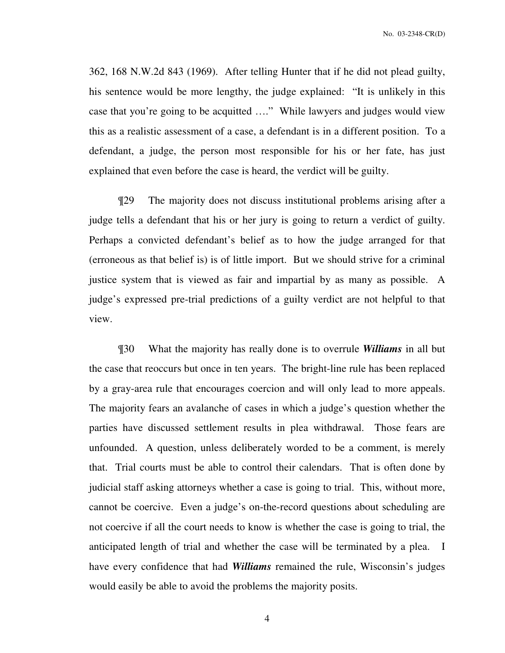362, 168 N.W.2d 843 (1969). After telling Hunter that if he did not plead guilty, his sentence would be more lengthy, the judge explained: "It is unlikely in this case that you're going to be acquitted …." While lawyers and judges would view this as a realistic assessment of a case, a defendant is in a different position. To a defendant, a judge, the person most responsible for his or her fate, has just explained that even before the case is heard, the verdict will be guilty.

¶29 The majority does not discuss institutional problems arising after a judge tells a defendant that his or her jury is going to return a verdict of guilty. Perhaps a convicted defendant's belief as to how the judge arranged for that (erroneous as that belief is) is of little import. But we should strive for a criminal justice system that is viewed as fair and impartial by as many as possible. A judge's expressed pre-trial predictions of a guilty verdict are not helpful to that view.

¶30 What the majority has really done is to overrule *Williams* in all but the case that reoccurs but once in ten years. The bright-line rule has been replaced by a gray-area rule that encourages coercion and will only lead to more appeals. The majority fears an avalanche of cases in which a judge's question whether the parties have discussed settlement results in plea withdrawal. Those fears are unfounded. A question, unless deliberately worded to be a comment, is merely that. Trial courts must be able to control their calendars. That is often done by judicial staff asking attorneys whether a case is going to trial. This, without more, cannot be coercive. Even a judge's on-the-record questions about scheduling are not coercive if all the court needs to know is whether the case is going to trial, the anticipated length of trial and whether the case will be terminated by a plea. I have every confidence that had *Williams* remained the rule, Wisconsin's judges would easily be able to avoid the problems the majority posits.